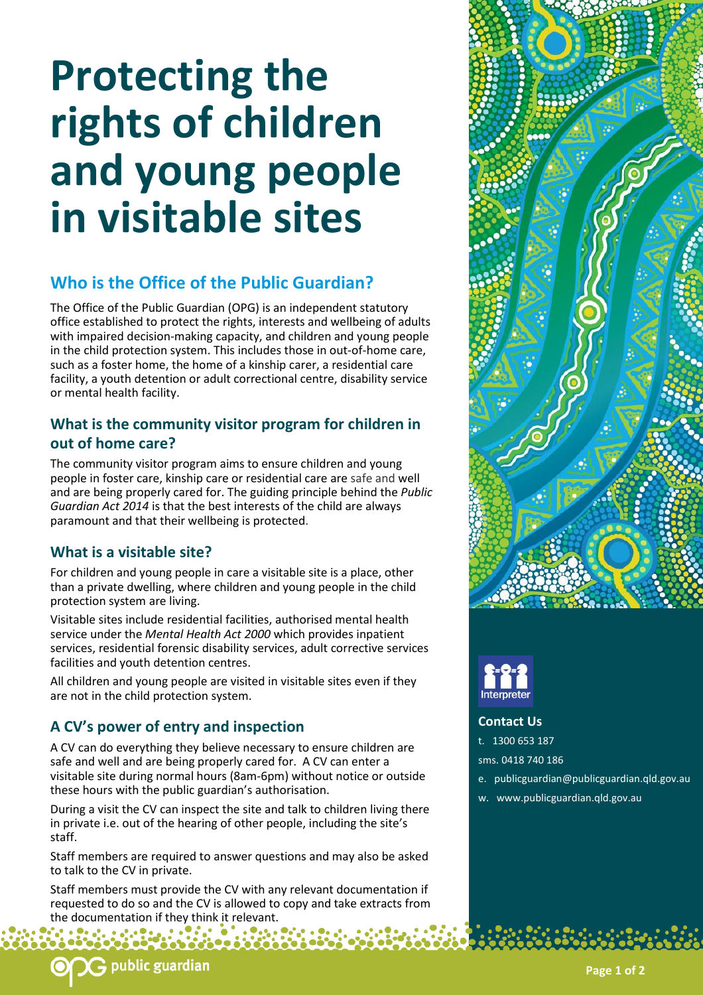# **Protecting the rights of children and young people in visitable sites**

# **Who is the Office of the Public Guardian?**

The Office of the Public Guardian (OPG) is an independent statutory office established to protect the rights, interests and wellbeing of adults with impaired decision-making capacity, and children and young people in the child protection system. This includes those in out-of-home care, such as a foster home, the home of a kinship carer, a residential care facility, a youth detention or adult correctional centre, disability service or mental health facility.

## **What is the community visitor program for children in out of home care?**

The community visitor program aims to ensure children and young people in foster care, kinship care or residential care are safe and well and are being properly cared for. The guiding principle behind the *Public Guardian Act 2014* is that the best interests of the child are always paramount and that their wellbeing is protected.

# **What is a visitable site?**

For children and young people in care a visitable site is a place, other than a private dwelling, where children and young people in the child protection system are living.

Visitable sites include residential facilities, authorised mental health service under the *Mental Health Act 2000* which provides inpatient services, residential forensic disability services, adult corrective services facilities and youth detention centres.

All children and young people are visited in visitable sites even if they are not in the child protection system.

# **A CV's power of entry and inspection**

A CV can do everything they believe necessary to ensure children are safe and well and are being properly cared for. A CV can enter a visitable site during normal hours (8am-6pm) without notice or outside these hours with the public guardian's authorisation.

During a visit the CV can inspect the site and talk to children living there in private i.e. out of the hearing of other people, including the site's staff.

Staff members are required to answer questions and may also be asked to talk to the CV in private.

Staff members must provide the CV with any relevant documentation if requested to do so and the CV is allowed to copy and take extracts from the documentation if they think it relevant.

e'o é º º º o é

 $\bullet$ 





**Contact Us**

t. 1300 653 187

sms. 0418 740 186

- e. publicguardian@publicguardian.qld.gov.au
- w. www.publicguardian.qld.gov.au

 $\mathsf G$  public guardian

**Page 1 of 2**